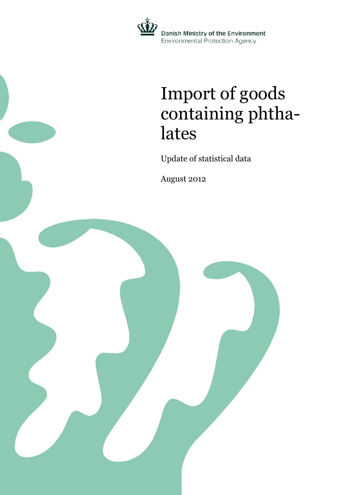

### Import of goods containing phthalates

Update of statistical data

August 2012

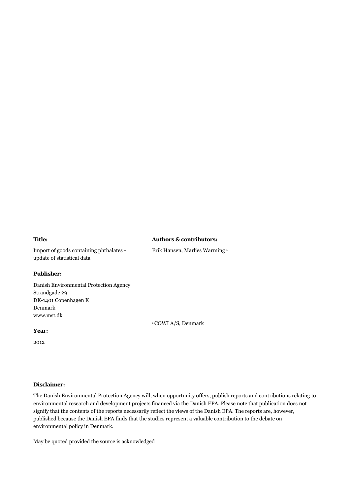### **Title:**

### **Authors & contributors:**

Erik Hansen, Marlies Warming 1

Import of goods containing phthalates update of statistical data

### **Publisher:**

Danish Environmental Protection Agency Strandgade 29 DK-1401 Copenhagen K Denmark www.mst.dk

### **Year:**

2012

### **Disclaimer:**

The Danish Environmental Protection Agency will, when opportunity offers, publish reports and contributions relating to environmental research and development projects financed via the Danish EPA. Please note that publication does not signify that the contents of the reports necessarily reflect the views of the Danish EPA. The reports are, however, published because the Danish EPA finds that the studies represent a valuable contribution to the debate on environmental policy in Denmark.

<sup>1</sup> COWI A/S, Denmark

May be quoted provided the source is acknowledged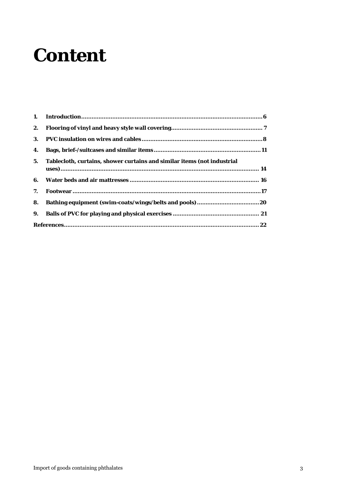### **Content**

| 1. |                                                                         |
|----|-------------------------------------------------------------------------|
| 2. |                                                                         |
| 3. |                                                                         |
| 4. |                                                                         |
| 5. | Tablecloth, curtains, shower curtains and similar items (not industrial |
| 6. |                                                                         |
| 7. |                                                                         |
| 8. |                                                                         |
| 9. |                                                                         |
|    |                                                                         |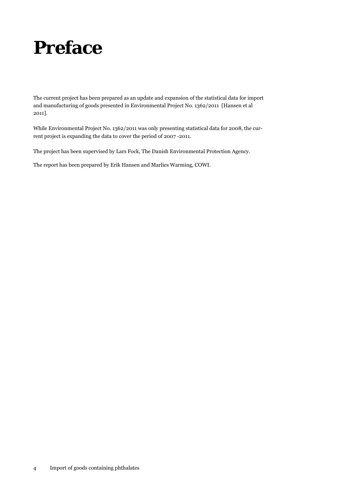

The current project has been prepared as an update and expansion of the statistical data for import and manufacturing of goods presented in Environmental Project No. 1362/2011 [Hansen et al 2011].

While Environmental Project No. 1362/2011 was only presenting statistical data for 2008, the current project is expanding the data to cover the period of 2007 -2011.

The project has been supervised by Lars Fock, The Danish Environmental Protection Agency.

The report has been prepared by Erik Hansen and Marlies Warming, COWI.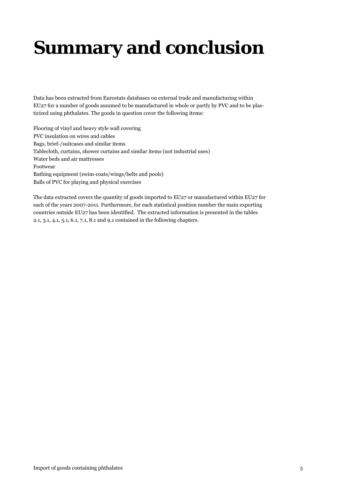# **Summary and conclusion**

Data has been extracted from Eurostats databases on external trade and manufacturing within EU27 for a number of goods assumed to be manufactured in whole or partly by PVC and to be plasticized using phthalates. The goods in question cover the following items:

Flooring of vinyl and heavy style wall covering PVC insulation on wires and cables Bags, brief-/suitcases and similar items Tablecloth, curtains, shower curtains and similar items (not industrial uses) Water beds and air mattresses Footwear Bathing equipment (swim-coats/wings/belts and pools) Balls of PVC for playing and physical exercises

The data extracted covers the quantity of goods imported to EU27 or manufactured within EU27 for each of the years 2007-2011. Furthermore, for each statistical position number the main exporting countries outside EU27 has been identified. The extracted information is presented in the tables 2.1, 3.1, 4.1, 5.1, 6.1, 7.1, 8.1 and 9.1 contained in the following chapters.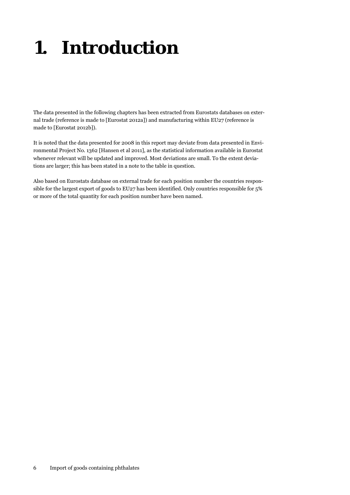# <span id="page-5-0"></span>**1. Introduction**

The data presented in the following chapters has been extracted from Eurostats databases on external trade (reference is made to [Eurostat 2012a]) and manufacturing within EU27 (reference is made to [Eurostat 2012b]).

It is noted that the data presented for 2008 in this report may deviate from data presented in Environmental Project No. 1362 [Hansen et al 2011], as the statistical information available in Eurostat whenever relevant will be updated and improved. Most deviations are small. To the extent deviations are larger; this has been stated in a note to the table in question.

Also based on Eurostats database on external trade for each position number the countries responsible for the largest export of goods to EU27 has been identified. Only countries responsible for 5% or more of the total quantity for each position number have been named.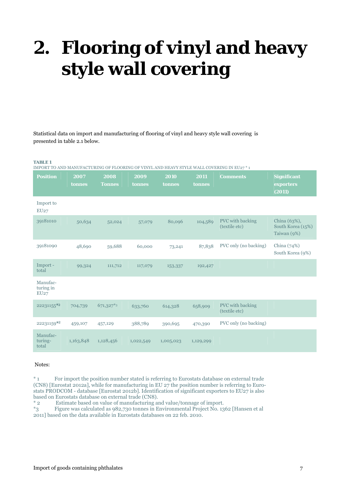# <span id="page-6-0"></span>**2. Flooring of vinyl and heavy style wall covering**

Statistical data on import and manufacturing of flooring of vinyl and heavy style wall covering is presented in table 2.1 below.

#### **TABLE 1**

IMPORT TO AND MANUFACTURING OF FLOORING OF VINYL AND HEAVY STYLE WALL COVERING IN EU27 \* 1

| <b>Position</b>               | 2007      | 2008          | 2009      | 2010      | 2011      | <b>Comments</b>                   | <b>Significant</b>                               |
|-------------------------------|-----------|---------------|-----------|-----------|-----------|-----------------------------------|--------------------------------------------------|
|                               | tonnes    | <b>Tonnes</b> | tonnes    | tonnes    | tonnes    |                                   | exporters<br>(2011)                              |
| Import to<br>EU27             |           |               |           |           |           |                                   |                                                  |
| 39181010                      | 50,634    | 52,024        | 57,079    | 80,096    | 104,589   | PVC with backing<br>(textile etc) | China (63%),<br>South Korea (15%)<br>Taiwan (9%) |
| 39181090                      | 48,690    | 59,688        | 60,000    | 73,241    | 87,838    | PVC only (no backing)             | China $(74%)$<br>South Korea (9%)                |
| Import -<br>total             | 99,324    | 111,712       | 117,079   | 153,337   | 192,427   |                                   |                                                  |
| Manufac-<br>turing in<br>EU27 |           |               |           |           |           |                                   |                                                  |
| 22231155*2                    | 704,739   | 671,327*3     | 633,760   | 614,328   | 658,909   | PVC with backing<br>(textile etc) |                                                  |
| 22231159*2                    | 459,107   | 457,129       | 388,789   | 390,695   | 470,390   | PVC only (no backing)             |                                                  |
| Manufac-<br>turing-<br>total  | 1,163,848 | 1,128,456     | 1,022,549 | 1,005,023 | 1,129,299 |                                   |                                                  |

### Notes:

\* 1 For import the position number stated is referring to Eurostats database on external trade (CN8) [Eurostat 2012a], while for manufacturing in EU 27 the position number is referring to Eurostats PRODCOM - database [Eurostat 2012b]. Identification of significant exporters to EU27 is also based on Eurostats database on external trade (CN8).<br>
\* 2 Estimate based on value of manufacturing an

Estimate based on value of manufacturing and value/tonnage of import.

\*3 Figure was calculated as 982,730 tonnes in Environmental Project No. 1362 [Hansen et al 2011] based on the data available in Eurostats databases on 22 feb. 2010.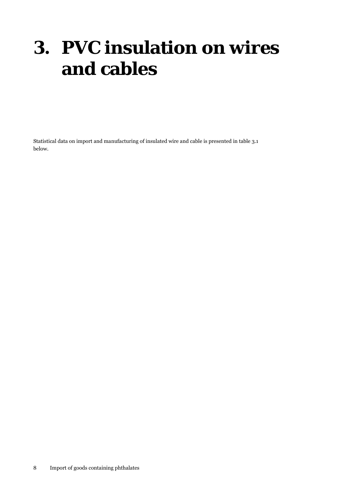### <span id="page-7-0"></span>**3. PVC insulation on wires and cables**

Statistical data on import and manufacturing of insulated wire and cable is presented in table 3.1 below.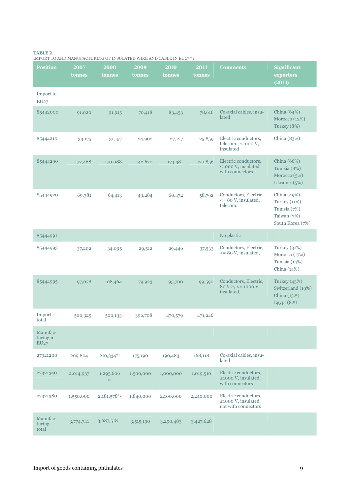#### **TABLE 2**

| <b>Position</b>               | 2007<br>tonnes | 2008<br>tonnes            | 2009<br>tonnes | 2010<br>tonnes | 2011<br>tonnes | <b>Comments</b>                                                        | <b>Significant</b><br>exporters<br>(2011)                                             |
|-------------------------------|----------------|---------------------------|----------------|----------------|----------------|------------------------------------------------------------------------|---------------------------------------------------------------------------------------|
| Import to<br>EU27             |                |                           |                |                |                |                                                                        |                                                                                       |
| 85442000                      | 91,020         | 91,915                    | 70,418         | 83,453         | 78,616         | Co-axial cables, insu-<br>lated                                        | China $(64%)$<br>Morocco (12%)<br>Turkey (8%)                                         |
| 85444210                      | 33,175         | 31,157                    | 24,902         | 27,127         | 25,859         | Electric conductors,<br>telecom., $\leq 1000 \text{ V}$ ,<br>insulated | China $(83%)$                                                                         |
| 85444290                      | 172,468        | 170,088                   | 142,670        | 174,381        | 170,856        | Electric conductors,<br>$\leq$ 1000 V, insulated,<br>with connectors   | China (66%)<br>Tunisia (8%)<br>Morocco $(5%)$<br>Ukraine (5%)                         |
| 85444920                      | 69,381         | 64,413                    | 49,284         | 60,472         | 58,792         | Conductors, Electric,<br>$\leq$ 80 V, insulated,<br>telecom.           | China (49%)<br><b>Turkey</b> (11%)<br>Tunisia (7%)<br>Taiwan (7%)<br>South Korea (7%) |
| 85444991                      |                |                           |                |                |                | No plastic                                                             |                                                                                       |
| 85444993                      | 37,202         | 34,095                    | 29,512         | 29,446         | 37,533         | Conductors, Electric,<br>$\leq$ 80 V, insulated,                       | Turkey $(31%)$<br>Morocco $(17%)$<br>Tunisia (14%)<br>China $(14%)$                   |
| 85444995                      | 97,078         | 108,464                   | 79,923         | 95,700         | 99,590         | Conductors, Electric,<br>$80 V \geq, \leq 1000 V,$<br>insulated,       | Turkey (43%)<br>Switzerland (19%)<br>China (13%)<br>Egypt (8%)                        |
| Import-<br>total              | 500,325        | 500,133                   | 396,708        | 470,579        | 471,246        |                                                                        |                                                                                       |
| Manufac-<br>turing in<br>EU27 |                |                           |                |                |                |                                                                        |                                                                                       |
| 27321200                      | 209,804        | 210,334*2                 | 175,190        | 190,483        | 168,118        | Co-axial cables, insu-<br>lated                                        |                                                                                       |
| 27321340                      | 2,014,937      | 1,295,606<br>$*_{2}$      | 1,500,000      | 1,000,000      | 1,019,510      | Electric conductors,<br>$\leq 1000$ V, insulated,<br>with connectors   |                                                                                       |
| 27321380                      | 1,550,000      | $2,181,578$ <sup>*2</sup> | 1,840,000      | 2,100,000      | 2,240,000      | Electric conductors,<br>≤1000 V, insulated,<br>not with connectors     |                                                                                       |
| Manufac-<br>turing-<br>total  | 3,774,741      | 3,687,518                 | 3,515,190      | 3,290,483      | 3,427,628      |                                                                        |                                                                                       |

IMPORT TO AND MANUFACTURING OF INSULATED WIRE AND CABLE IN EU27 \* 1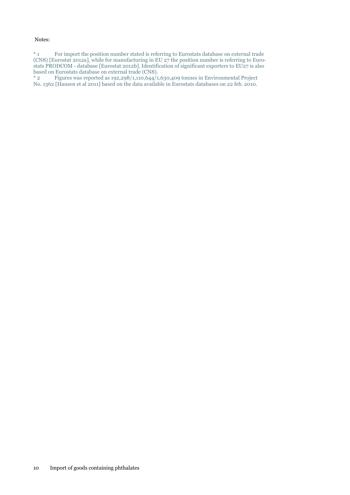### Notes:

\* 1 For import the position number stated is referring to Eurostats database on external trade (CN8) [Eurostat 2012a], while for manufacturing in EU 27 the position number is referring to Eurostats PRODCOM - database [Eurostat 2012b]. Identification of significant exporters to EU27 is also based on Eurostats database on external trade (CN8).

\* 2 Figures was reported as 192,298/1,110,644/1,630,409 tonnes in Environmental Project No. 1362 [Hansen et al 2011] based on the data available in Eurostats databases on 22 feb. 2010.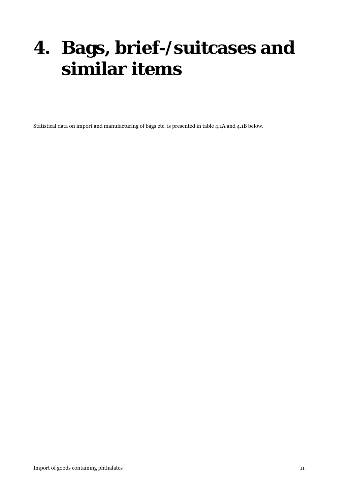## <span id="page-10-0"></span>**4. Bags, brief-/suitcases and similar items**

Statistical data on import and manufacturing of bags etc. is presented in table 4.1A and 4.1B below.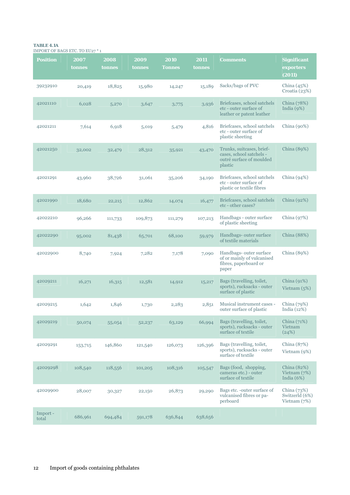#### **TABLE 4.1A**  IMPORT OF BAGS ETC. TO EU27 \* 1

| <b>Position</b>  | 2007<br>tonnes | 2008<br>tonnes | 2009<br>tonnes | 2010<br><b>Tonnes</b> | 2011<br>tonnes | <b>Comments</b>                                                                              | <b>Significant</b><br>exporters<br>(2011)         |
|------------------|----------------|----------------|----------------|-----------------------|----------------|----------------------------------------------------------------------------------------------|---------------------------------------------------|
| 39232910         | 20,419         | 18,825         | 15,980         | 14,247                | 15,189         | Sacks/bags of PVC                                                                            | China $(45%)$<br>Croatia $(23%)$                  |
| 42021110         | 6,028          | 5,270          | 3,647          | 3,775                 | 3,936          | Briefcases, school satchels<br>etc - outer surface of<br>leather or patent leather           | China (78%)<br>India $(9%)$                       |
| 42021211         | 7,614          | 6,918          | 5,019          | 5,479                 | 4,816          | Briefcases, school satchels<br>etc - outer surface of<br>plastic sheeting                    | China $(90\%)$                                    |
| 42021250         | 32,002         | 32,479         | 28,312         | 35,921                | 43,470         | Trunks, suitcases, brief-<br>cases, school satchels -<br>outré surface of moulded<br>plastic | China (89%)                                       |
| 42021291         | 43,960         | 38,726         | 31,061         | 35,206                | 34,190         | Briefcases, school satchels<br>etc - outer surface of<br>plastic or textile fibres           | China $(94%)$                                     |
| 42021990         | 18,680         | 22,215         | 12,862         | 14,074                | 16,477         | Briefcases, school satchels<br>etc - other cases?                                            | China $(92%)$                                     |
| 42022210         | 96,266         | 111,733        | 109,873        | 111,279               | 107,213        | Handbags - outer surface<br>of plastic sheeting                                              | China $(97%)$                                     |
| 42022290         | 95,002         | 81,438         | 65,701         | 68,100                | 59,979         | Handbags- outer surface<br>of textile materials                                              | China (88%)                                       |
| 42022900         | 8,740          | 7,924          | 7,282          | 7,178                 | 7,090          | Handbags- outer surface<br>of or mainly of vulcanised<br>fibres, paperboard or<br>paper      | China (89%)                                       |
| 42029211         | 16,271         | 16,315         | 12,581         | 14,912                | 15,217         | Bags (travelling, toilet,<br>sports), rucksacks - outer<br>surface of plastic                | China $(91%)$<br>Vietnam $(5%)$                   |
| 42029215         | 1,642          | 1,846          | 1,730          | 2,283                 | 2,851          | Musical instrument cases -<br>outer surface of plastic                                       | China $(79%)$<br>India (12%)                      |
| 42029219         | 50,074         | 55,054         | 52,237         | 63,129                | 66,994         | Bags (travelling, toilet,<br>sports), rucksacks - outer<br>surface of textile                | China $(71%)$<br>Vietnam<br>(24%)                 |
| 42029291         | 153,715        | 146,860        | 121,540        | 126,073               | 126,396        | Bags (travelling, toilet,<br>sports), rucksacks - outer<br>surface of textile                | China (87%)<br>Vietnam (9%)                       |
| 42029298         | 108,540        | 118,556        | 101,205        | 108,316               | 105,547        | Bags (food, shopping,<br>cameras etc.) - outer<br>surface of textile                         | China $(82%)$<br>Vietnam $(7%)$<br>India $(6%)$   |
| 42029900         | 28,007         | 30,327         | 22,150         | 26,873                | 29,290         | Bags etc. -outer surface of<br>vulcanised fibres or pa-<br>perboard                          | China $(73%)$<br>Switzerld (6%)<br>Vietnam $(7%)$ |
| Import-<br>total | 686,961        | 694,484        | 591,178        | 636,844               | 638,656        |                                                                                              |                                                   |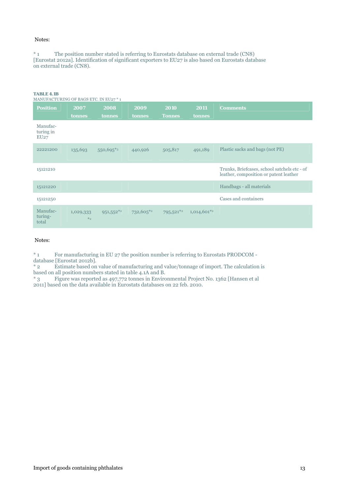### Notes:

\* 1 The position number stated is referring to Eurostats database on external trade (CN8) [Eurostat 2012a]. Identification of significant exporters to EU27 is also based on Eurostats database on external trade (CN8).

| <b>TABLE 4.1B</b><br>MANUFACTURING OF BAGS ETC. IN EU27 * 1 |                      |                |                |                         |                           |                                                                                        |
|-------------------------------------------------------------|----------------------|----------------|----------------|-------------------------|---------------------------|----------------------------------------------------------------------------------------|
| <b>Position</b>                                             | 2007<br>tonnes       | 2008<br>tonnes | 2009<br>tonnes | 2010<br><b>Tonnes</b>   | 2011<br>tonnes            | <b>Comments</b>                                                                        |
| Manufac-<br>turing in<br>EU27                               |                      |                |                |                         |                           |                                                                                        |
| 22221200                                                    | 135,693              | $550,695$ *3   | 440,926        | 505,817                 | 491,189                   | Plastic sacks and bags (not PE)                                                        |
| 15121210                                                    |                      |                |                |                         |                           | Trunks, Briefcases, school satchels etc - of<br>leather, composition or patent leather |
| 15121220                                                    |                      |                |                |                         |                           | Handbags - all materials                                                               |
| 15121250                                                    |                      |                |                |                         |                           | Cases and containers                                                                   |
| Manufac-<br>turing-<br>total                                | 1,029,333<br>$*_{2}$ | $951,552**2$   | $732,605^{*2}$ | $795,521$ <sup>*2</sup> | $1,014,601$ <sup>*2</sup> |                                                                                        |

Notes:

\* 1 For manufacturing in EU 27 the position number is referring to Eurostats PRODCOM database [Eurostat 2012b].

\* 2 Estimate based on value of manufacturing and value/tonnage of import. The calculation is based on all position numbers stated in table 4.1A and B.

\* 3 Figure was reported as 497,772 tonnes in Environmental Project No. 1362 [Hansen et al 2011] based on the data available in Eurostats databases on 22 feb. 2010.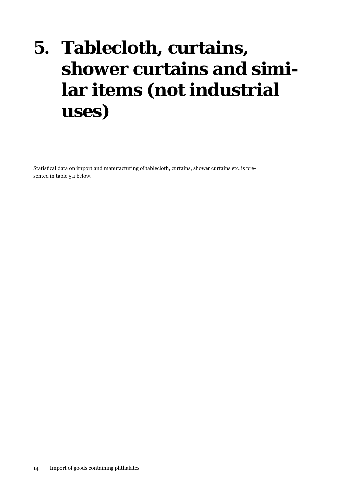# <span id="page-13-0"></span>**5. Tablecloth, curtains, shower curtains and similar items (not industrial uses)**

Statistical data on import and manufacturing of tablecloth, curtains, shower curtains etc. is presented in table 5.1 below.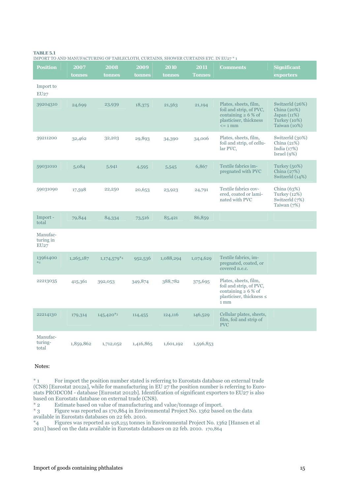#### **TABLE 5.1**

IMPORT TO AND MANUFACTURING OF TABLECLOTH, CURTAINS, SHOWER CURTAINS ETC. IN EU27 \* 1

| <b>Position</b>               | 2007<br>tonnes | 2008<br>tonnes            | 2009<br>tonnes | 2010<br>tonnes | 2011<br><b>Tonnes</b> | <b>Comments</b>                                                                                                         | <b>Significant</b><br>exporters                                                     |
|-------------------------------|----------------|---------------------------|----------------|----------------|-----------------------|-------------------------------------------------------------------------------------------------------------------------|-------------------------------------------------------------------------------------|
| Import to<br>EU27             |                |                           |                |                |                       |                                                                                                                         |                                                                                     |
| 39204310                      | 24,699         | 23,939                    | 18,375         | 21,563         | 21,194                | Plates, sheets, film,<br>foil and strip, of PVC,<br>containing $\geq 6\%$ of<br>plasticiser, thickness<br>$\leq$ = 1 mm | Switzerld (26%)<br>China (20%)<br>Japan(11%)<br><b>Turkey</b> (10%)<br>Taiwan (10%) |
| 39211200                      | 32,462         | 32,203                    | 29,893         | 34,390         | 34,006                | Plates, sheets, film,<br>foil and strip, of cellu-<br>lar PVC,                                                          | Switzerld (30%)<br>China $(21%)$<br>India $(17%)$<br>Israel $(9\%)$                 |
| 59031010                      | 5,084          | 5,941                     | 4,595          | 5,545          | 6,867                 | Textile fabrics im-<br>pregnated with PVC                                                                               | Turkey (50%)<br>China $(27%)$<br>Switzerld (14%)                                    |
| 59031090                      | 17,598         | 22,250                    | 20,653         | 23,923         | 24,791                | Textile fabrics cov-<br>ered, coated or lami-<br>nated with PVC                                                         | China $(63%)$<br>Turkey $(12%)$<br>Switzerld (7%)<br>Taiwan $(7%)$                  |
| Import-<br>total              | 79,844         | 84,334                    | 73,516         | 85,421         | 86,859                |                                                                                                                         |                                                                                     |
| Manufac-<br>turing in<br>EU27 |                |                           |                |                |                       |                                                                                                                         |                                                                                     |
| 13961400<br>$*_{2}$           | 1,265,187      | $1,174,579$ <sup>*4</sup> | 952,536        | 1,088,294      | 1,074,629             | Textile fabrics, im-<br>pregnated, coated, or<br>covered n.e.c.                                                         |                                                                                     |
| 22213035                      | 415,361        | 392,053                   | 349,874        | 388,782        | 375,695               | Plates, sheets, film,<br>foil and strip, of PVC,<br>containing $\geq 6\%$ of<br>plasticiser, thickness $\leq$<br>1mm    |                                                                                     |
| 22214130                      | 179,314        | $145,420*3$               | 114,455        | 124,116        | 146,529               | Cellular plates, sheets,<br>film, foil and strip of<br><b>PVC</b>                                                       |                                                                                     |
| Manufac-<br>turing-<br>total  | 1,859,862      | 1,712,052                 | 1,416,865      | 1,601,192      | 1,596,853             |                                                                                                                         |                                                                                     |

#### Notes:

\* 1 For import the position number stated is referring to Eurostats database on external trade (CN8) [Eurostat 2012a], while for manufacturing in EU 27 the position number is referring to Eurostats PRODCOM - database [Eurostat 2012b]. Identification of significant exporters to EU27 is also based on Eurostats database on external trade (CN8).<br>
\* 2 Estimate based on value of manufacturing an

\* 2 Estimate based on value of manufacturing and value/tonnage of import.<br>\* 3 Figure was reported as 170,864 in Environmental Project No. 1362 based Figure was reported as 170,864 in Environmental Project No. 1362 based on the data available in Eurostats databases on 22 feb. 2010.<br> $*_{4}$  Figures was reported as 938,255 tonnes i

\*4 Figures was reported as 938,255 tonnes in Environmental Project No. 1362 [Hansen et al 2011] based on the data available in Eurostats databases on 22 feb. 2010. 170,864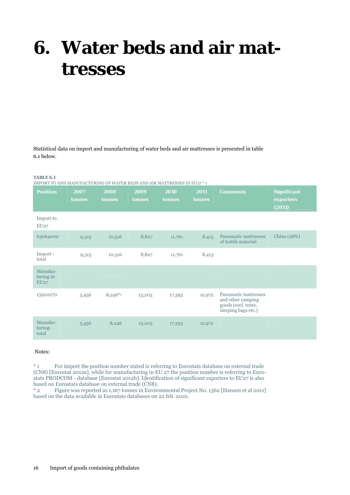### <span id="page-15-0"></span>**6. Water beds and air mattresses**

Statistical data on import and manufacturing of water beds and air mattresses is presented in table 6.1 below.

#### **TABLE 6.1**

IMPORT TO AND MANUFACTURING OF WATER BEDS AND AIR MATTRESSES IN EU27 \* 1

| <b>Position</b>               | 2007<br>tonnes | 2008<br>tonnes | 2009<br>tonnes | 2010<br>tonnes | 2011<br>tonnes | <b>Comments</b>                                                                                | <b>Significant</b><br>exporters<br>(2011) |
|-------------------------------|----------------|----------------|----------------|----------------|----------------|------------------------------------------------------------------------------------------------|-------------------------------------------|
| Import to<br>EU27             |                |                |                |                |                |                                                                                                |                                           |
| 63064000                      | 9,315          | 10,516         | 8,827          | 11,761         | 8,413          | <b>Pneumatic mattresses</b><br>of textile material                                             | China (98%)                               |
| Import -<br>total             | 9,315          | 10,516         | 8,827          | 11,761         | 8,413          |                                                                                                |                                           |
| Manufac-<br>turing in<br>EU27 |                |                |                |                |                |                                                                                                |                                           |
| 13922270                      | 5,456          | $8,246*2$      | 13,203         | 17,393         | 12,972         | <b>Pneumatic mattresses</b><br>and other camping<br>goods (excl. tents,<br>sleeping bags etc.) |                                           |
| Manufac-<br>turing-<br>total  | 5,456          | 8,246          | 13,203         | 17,393         | 12,972         |                                                                                                |                                           |

### Notes:

\* 1 For import the position number stated is referring to Eurostats database on external trade (CN8) [Eurostat 2012a], while for manufacturing in EU 27 the position number is referring to Eurostats PRODCOM - database [Eurostat 2012b]. Identification of significant exporters to EU27 is also based on Eurostats database on external trade (CN8).

\* 2 Figure was reported as 1,167 tonnes in Environmental Project No. 1362 [Hansen et al 2011] based on the data available in Eurostats databases on 22 feb. 2010.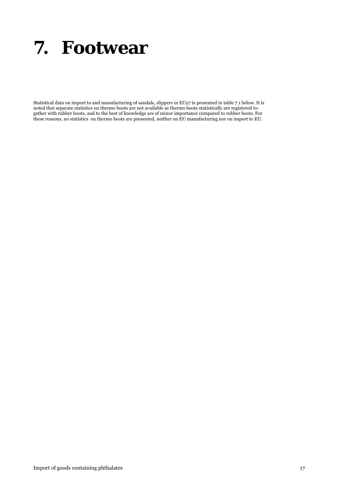### <span id="page-16-0"></span>**7. Footwear**

Statistical data on import to and manufacturing of sandals, slippers in EU27 is presented in table 7.1 below. It is noted that separate statistics on thermo boots are not available as thermo boots statistically are registered together with rubber boots, and to the best of knowledge are of minor importance compared to rubber boots. For these reasons, no statistics on thermo boots are presented, neither on EU manufacturing nor on import to EU.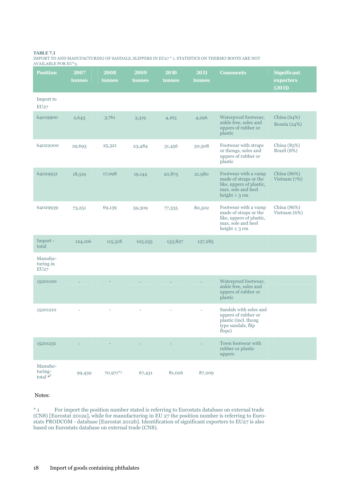### **TABLE 7.1**

IMPORT TO AND MANUFACTURING OF SANDALS, SLIPPERS IN EU27 \* 1. STATISTICS ON THERMO BOOTS ARE NOT AVAILABLE FOR EU\*3.

| <b>Position</b>                    | 2007<br>tonnes | 2008<br>tonnes | 2009<br>tonnes | 2010<br>tonnes | 2011<br>tonnes | <b>Comments</b>                                                                                                       | <b>Significant</b><br>exporters<br>(2011) |
|------------------------------------|----------------|----------------|----------------|----------------|----------------|-----------------------------------------------------------------------------------------------------------------------|-------------------------------------------|
| Import to<br>EU27                  |                |                |                |                |                |                                                                                                                       |                                           |
| 64019900                           | 2,643          | 3,761          | 3,319          | 4,163          | 4,296          | Waterproof footwear,<br>ankle free, soles and<br>uppers of rubber or<br>plastic                                       | China $(64%)$<br>Bosnia (24%)             |
| 64022000                           | 29,693         | 25,321         | 23,484         | 31,456         | 30,508         | Footwear with straps<br>or thongs, soles and<br>uppers of rubber or<br>plastic                                        | China (85%)<br>Brazil (8%)                |
| 64029931                           | 18,519         | 17,098         | 19,144         | 20,875         | 21,980         | Footwear with a vamp<br>made of straps or the<br>like, uppers of plastic,<br>max. sole and heel<br>height $> 3$ cm    | China (86%)<br>Vietnam $(7%)$             |
| 64029939                           | 73,251         | 69,139         | 59,309         | 77,335         | 80,502         | Footwear with a vamp<br>made of straps or the<br>like, uppers of plastic,<br>max. sole and heel<br>height $\leq$ 3 cm | China (86%)<br>Vietnam (6%)               |
| Import -<br>total                  | 124,106        | 115,318        | 105,255        | 133,827        | 137,285        |                                                                                                                       |                                           |
| Manufac-<br>turing in<br>EU27      |                |                |                |                |                |                                                                                                                       |                                           |
| 15201100                           |                |                |                |                |                | Waterproof footwear,<br>ankle free, soles and<br>uppers of rubber or<br>plastic                                       |                                           |
| 15201210                           |                |                |                |                |                | Sandals with soles and<br>uppers of rubber or<br>plastic (incl. thong<br>type sandals, flip<br>flops)                 |                                           |
| 15201231                           |                |                |                |                |                | Town footwear with<br>rubber or plastic<br>uppers                                                                     |                                           |
| Manufac-<br>turing-<br>total $*^2$ | 99,439         | 70,971*3       | 67,431         | 81,026         | 87,209         |                                                                                                                       |                                           |

### Notes:

\* 1 For import the position number stated is referring to Eurostats database on external trade (CN8) [Eurostat 2012a], while for manufacturing in EU 27 the position number is referring to Eurostats PRODCOM - database [Eurostat 2012b]. Identification of significant exporters to EU27 is also based on Eurostats database on external trade (CN8).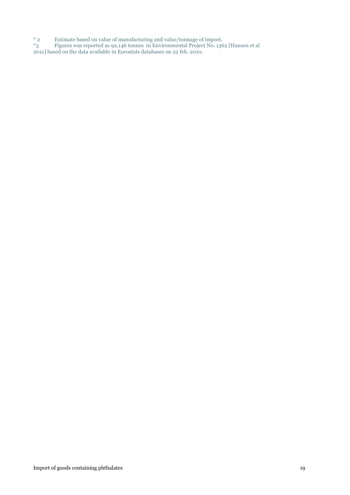\* 2 Estimate based on value of manufacturing and value/tonnage of import.

\*3 Figures was reported as 92,146 tonnes in Environmental Project No. 1362 [Hansen et al

2011] based on the data available in Eurostats databases on 22 feb. 2010.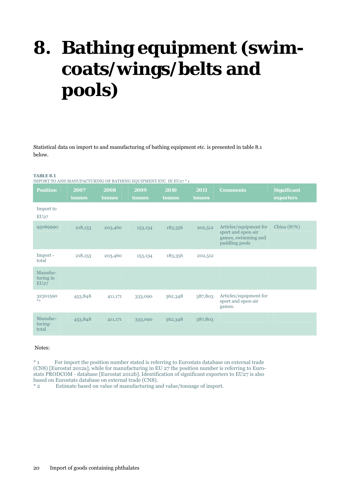# <span id="page-19-0"></span>**8. Bathing equipment (swimcoats/wings/belts and pools)**

Statistical data on import to and manufacturing of bathing equipment etc. is presented in table 8.1 below.

#### **TABLE 8.1**

| <b>Position</b>               | 2007    | 2008    | 2009    | 2010    | 2011    | <b>Comments</b>                                                                       | <b>Significant</b> |
|-------------------------------|---------|---------|---------|---------|---------|---------------------------------------------------------------------------------------|--------------------|
|                               | tonnes  | tonnes  | tonnes  | tonnes  | tonnes  |                                                                                       | exporters          |
| Import to<br>EU27             |         |         |         |         |         |                                                                                       |                    |
| 95069990                      | 218,153 | 203,460 | 153,134 | 183,356 | 202,512 | Articles/equipment for<br>sport and open-air<br>games, swimming and<br>paddling pools | China $(87%)$      |
| Import -<br>total             | 218,153 | 203,460 | 153,134 | 183,356 | 202,512 |                                                                                       |                    |
| Manufac-<br>turing in<br>EU27 |         |         |         |         |         |                                                                                       |                    |
| 32301590<br>$*_{2}$           | 453,848 | 411,171 | 333,090 | 362,348 | 387,803 | Articles/equipment for<br>sport and open-air<br>games.                                |                    |
| Manufac-<br>turing-<br>total  | 453,848 | 411,171 | 333,090 | 362,348 | 387,803 |                                                                                       |                    |

#### Notes:

\* 1 For import the position number stated is referring to Eurostats database on external trade (CN8) [Eurostat 2012a], while for manufacturing in EU 27 the position number is referring to Eurostats PRODCOM - database [Eurostat 2012b]. Identification of significant exporters to EU27 is also based on Eurostats database on external trade (CN8).<br>
\* 2 Estimate based on value of manufacturing a

Estimate based on value of manufacturing and value/tonnage of import.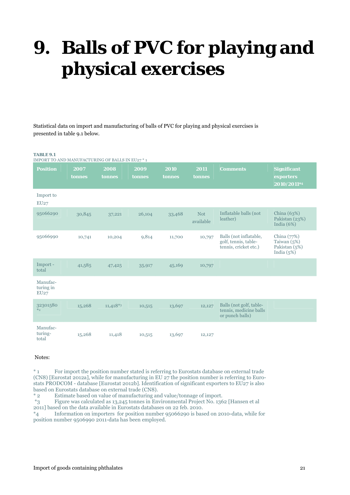# <span id="page-20-0"></span>**9. Balls of PVC for playing and physical exercises**

Statistical data on import and manufacturing of balls of PVC for playing and physical exercises is presented in table 9.1 below.

#### **TABLE 9.1**

|  |  | IMPORT TO AND MANUFACTURING OF BALLS IN EU27 * 1 |  |  |
|--|--|--------------------------------------------------|--|--|
|--|--|--------------------------------------------------|--|--|

| <b>Position</b>               | 2007<br>tonnes | 2008<br>tonnes | 2009<br>tonnes | 2010<br>tonnes | 2011<br>tonnes          | <b>Comments</b>                                                         | <b>Significant</b><br>exporters<br>2010/2011*4                  |
|-------------------------------|----------------|----------------|----------------|----------------|-------------------------|-------------------------------------------------------------------------|-----------------------------------------------------------------|
| Import to<br>EU27             |                |                |                |                |                         |                                                                         |                                                                 |
| 95066290                      | 30,845         | 37,221         | 26,104         | 33,468         | <b>Not</b><br>available | Inflatable balls (not<br>leather)                                       | China (63%)<br>Pakistan (23%)<br>India $(6%)$                   |
| 95066990                      | 10,741         | 10,204         | 9,814          | 11,700         | 10,797                  | Balls (not inflatable,<br>golf, tennis, table-<br>tennis, cricket etc.) | China $(77%)$<br>Taiwan $(5%)$<br>Pakistan (5%)<br>India $(5%)$ |
| Import-<br>total              | 41,585         | 47,425         | 35,917         | 45,169         | 10,797                  |                                                                         |                                                                 |
| Manufac-<br>turing in<br>EU27 |                |                |                |                |                         |                                                                         |                                                                 |
| 32301580<br>$*_{2}$           | 15,268         | $11,418*3$     | 10,515         | 13,697         | 12,127                  | Balls (not golf, table-<br>tennis, medicine balls<br>or punch balls)    |                                                                 |
| Manufac-<br>turing-<br>total  | 15,268         | 11,418         | 10,515         | 13,697         | 12,127                  |                                                                         |                                                                 |

#### Notes:

\* 1 For import the position number stated is referring to Eurostats database on external trade (CN8) [Eurostat 2012a], while for manufacturing in EU 27 the position number is referring to Eurostats PRODCOM - database [Eurostat 2012b]. Identification of significant exporters to EU27 is also based on Eurostats database on external trade (CN8).

\* 2 Estimate based on value of manufacturing and value/tonnage of import. Figure was calculated as 13,245 tonnes in Environmental Project No. 1362 [Hansen et al 2011] based on the data available in Eurostats databases on 22 feb. 2010.

\*4 Information on importers for position number 95066290 is based on 2010-data, while for position number 9506990 2011-data has been employed.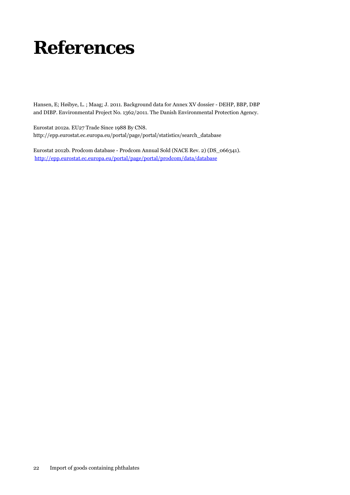## <span id="page-21-0"></span>**References**

Hansen, E; Høibye, L. ; Maag; J. 2011. Background data for Annex XV dossier - DEHP, BBP, DBP and DIBP. Environmental Project No. 1362/2011. The Danish Environmental Protection Agency.

Eurostat 2012a. EU27 Trade Since 1988 By CN8. http://epp.eurostat.ec.europa.eu/portal/page/portal/statistics/search\_database

Eurostat 2012b. Prodcom database - Prodcom Annual Sold (NACE Rev. 2) (DS\_066341). <http://epp.eurostat.ec.europa.eu/portal/page/portal/prodcom/data/database>